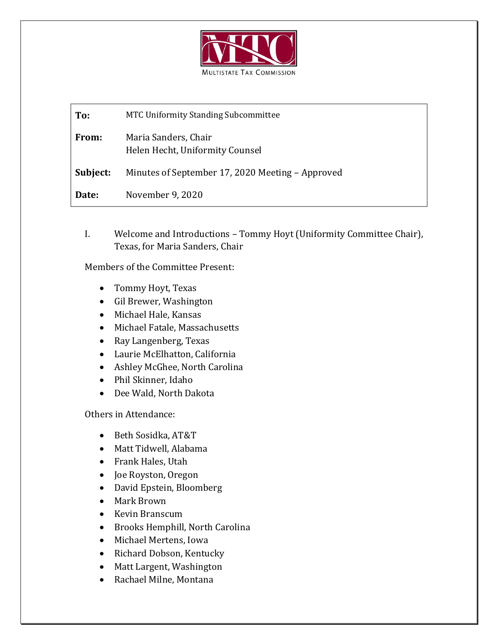

**To:** MTC Uniformity Standing Subcommittee **From:** Maria Sanders, Chair Helen Hecht, Uniformity Counsel **Subject:** Minutes of September 17, 2020 Meeting – Approved **Date:** November 9, 2020

I. Welcome and Introductions – Tommy Hoyt (Uniformity Committee Chair), Texas, for Maria Sanders, Chair

Members of the Committee Present:

- Tommy Hoyt, Texas
- Gil Brewer, Washington
- Michael Hale, Kansas
- Michael Fatale, Massachusetts
- Ray Langenberg, Texas
- Laurie McElhatton, California
- Ashley McGhee, North Carolina
- Phil Skinner, Idaho
- Dee Wald, North Dakota

Others in Attendance:

- Beth Sosidka, AT&T
- Matt Tidwell, Alabama
- Frank Hales, Utah
- Joe Royston, Oregon
- David Epstein, Bloomberg
- Mark Brown
- Kevin Branscum
- Brooks Hemphill, North Carolina
- Michael Mertens, Iowa
- Richard Dobson, Kentucky
- Matt Largent, Washington
- Rachael Milne, Montana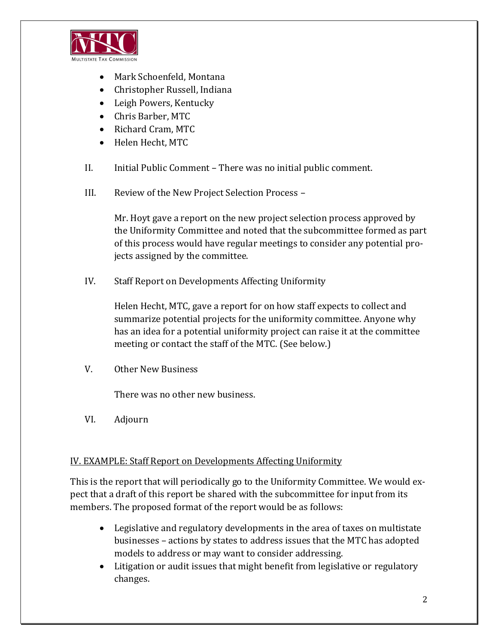

- Mark Schoenfeld, Montana
- Christopher Russell, Indiana
- Leigh Powers, Kentucky
- Chris Barber, MTC
- Richard Cram, MTC
- Helen Hecht, MTC
- II. Initial Public Comment There was no initial public comment.
- III. Review of the New Project Selection Process –

Mr. Hoyt gave a report on the new project selection process approved by the Uniformity Committee and noted that the subcommittee formed as part of this process would have regular meetings to consider any potential projects assigned by the committee.

IV. Staff Report on Developments Affecting Uniformity

Helen Hecht, MTC, gave a report for on how staff expects to collect and summarize potential projects for the uniformity committee. Anyone why has an idea for a potential uniformity project can raise it at the committee meeting or contact the staff of the MTC. (See below.)

V. Other New Business

There was no other new business.

VI. Adjourn

## IV. EXAMPLE: Staff Report on Developments Affecting Uniformity

This is the report that will periodically go to the Uniformity Committee. We would expect that a draft of this report be shared with the subcommittee for input from its members. The proposed format of the report would be as follows:

- Legislative and regulatory developments in the area of taxes on multistate businesses – actions by states to address issues that the MTC has adopted models to address or may want to consider addressing.
- Litigation or audit issues that might benefit from legislative or regulatory changes.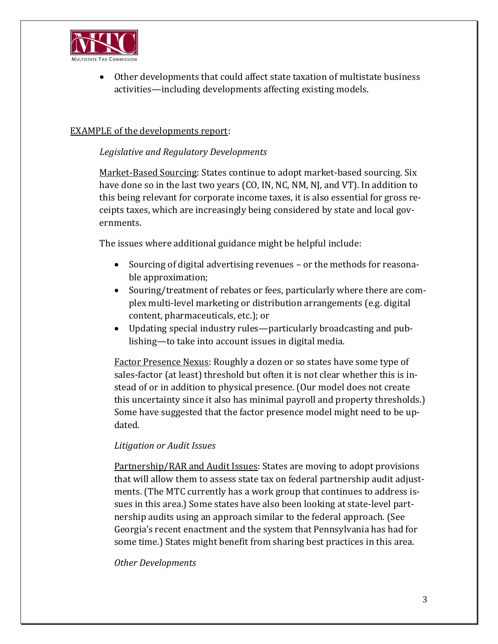

• Other developments that could affect state taxation of multistate business activities—including developments affecting existing models.

# EXAMPLE of the developments report:

## *Legislative and Regulatory Developments*

Market-Based Sourcing: States continue to adopt market-based sourcing. Six have done so in the last two years (CO, IN, NC, NM, NJ, and VT). In addition to this being relevant for corporate income taxes, it is also essential for gross receipts taxes, which are increasingly being considered by state and local governments.

The issues where additional guidance might be helpful include:

- Sourcing of digital advertising revenues or the methods for reasonable approximation;
- Souring/treatment of rebates or fees, particularly where there are complex multi-level marketing or distribution arrangements (e.g. digital content, pharmaceuticals, etc.); or
- Updating special industry rules—particularly broadcasting and publishing—to take into account issues in digital media.

Factor Presence Nexus: Roughly a dozen or so states have some type of sales-factor (at least) threshold but often it is not clear whether this is instead of or in addition to physical presence. (Our model does not create this uncertainty since it also has minimal payroll and property thresholds.) Some have suggested that the factor presence model might need to be updated.

## *Litigation or Audit Issues*

Partnership/RAR and Audit Issues: States are moving to adopt provisions that will allow them to assess state tax on federal partnership audit adjustments. (The MTC currently has a work group that continues to address issues in this area.) Some states have also been looking at state-level partnership audits using an approach similar to the federal approach. (See Georgia's recent enactment and the system that Pennsylvania has had for some time.) States might benefit from sharing best practices in this area.

## *Other Developments*